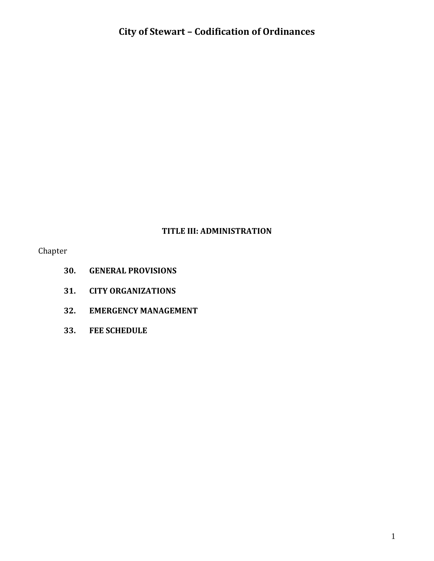### **TITLE III: ADMINISTRATION**

Chapter

- **30. GENERAL PROVISIONS**
- **31. CITY ORGANIZATIONS**
- **32. EMERGENCY MANAGEMENT**
- **33. FEE SCHEDULE**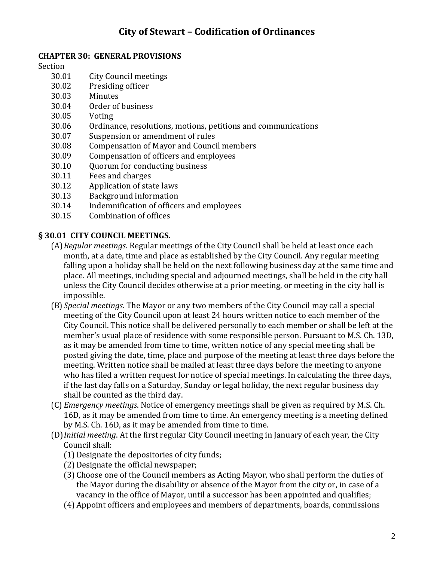#### **CHAPTER 30: GENERAL PROVISIONS**

Section

- 30.01 City Council meetings
- 30.02 Presiding officer
- 30.03 Minutes
- 30.04 Order of business
- 30.05 Voting
- 30.06 Ordinance, resolutions, motions, petitions and communications
- 30.07 Suspension or amendment of rules
- 30.08 Compensation of Mayor and Council members
- 30.09 Compensation of officers and employees
- 30.10 Quorum for conducting business
- 30.11 Fees and charges
- 30.12 Application of state laws
- 30.13 Background information
- 30.14 Indemnification of officers and employees
- 30.15 Combination of offices

#### **§ 30.01 CITY COUNCIL MEETINGS.**

- (A)*Regular meetings*. Regular meetings of the City Council shall be held at least once each month, at a date, time and place as established by the City Council. Any regular meeting falling upon a holiday shall be held on the next following business day at the same time and place. All meetings, including special and adjourned meetings, shall be held in the city hall unless the City Council decides otherwise at a prior meeting, or meeting in the city hall is impossible.
- (B) *Special meetings*. The Mayor or any two members of the City Council may call a special meeting of the City Council upon at least 24 hours written notice to each member of the City Council. This notice shall be delivered personally to each member or shall be left at the member's usual place of residence with some responsible person. Pursuant to M.S. Ch. 13D, as it may be amended from time to time, written notice of any special meeting shall be posted giving the date, time, place and purpose of the meeting at least three days before the meeting. Written notice shall be mailed at least three days before the meeting to anyone who has filed a written request for notice of special meetings. In calculating the three days, if the last day falls on a Saturday, Sunday or legal holiday, the next regular business day shall be counted as the third day.
- (C) *Emergency meetings*. Notice of emergency meetings shall be given as required by M.S. Ch. 16D, as it may be amended from time to time. An emergency meeting is a meeting defined by M.S. Ch. 16D, as it may be amended from time to time.
- (D)*Initial meeting*. At the first regular City Council meeting in January of each year, the City Council shall:
	- (1) Designate the depositories of city funds;
	- (2) Designate the official newspaper;
	- (3) Choose one of the Council members as Acting Mayor, who shall perform the duties of the Mayor during the disability or absence of the Mayor from the city or, in case of a vacancy in the office of Mayor, until a successor has been appointed and qualifies;
	- (4) Appoint officers and employees and members of departments, boards, commissions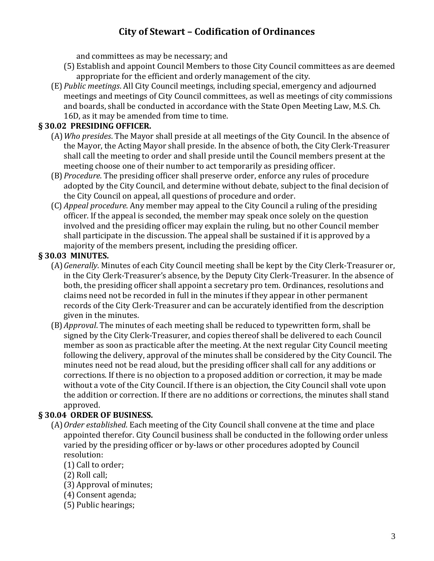and committees as may be necessary; and

- (5) Establish and appoint Council Members to those City Council committees as are deemed appropriate for the efficient and orderly management of the city.
- (E) *Public meetings*. All City Council meetings, including special, emergency and adjourned meetings and meetings of City Council committees, as well as meetings of city commissions and boards, shall be conducted in accordance with the State Open Meeting Law, M.S. Ch. 16D, as it may be amended from time to time.

#### **§ 30.02 PRESIDING OFFICER.**

- (A)*Who presides*. The Mayor shall preside at all meetings of the City Council. In the absence of the Mayor, the Acting Mayor shall preside. In the absence of both, the City Clerk-Treasurer shall call the meeting to order and shall preside until the Council members present at the meeting choose one of their number to act temporarily as presiding officer.
- (B)*Procedure*. The presiding officer shall preserve order, enforce any rules of procedure adopted by the City Council, and determine without debate, subject to the final decision of the City Council on appeal, all questions of procedure and order.
- (C) *Appeal procedure*. Any member may appeal to the City Council a ruling of the presiding officer. If the appeal is seconded, the member may speak once solely on the question involved and the presiding officer may explain the ruling, but no other Council member shall participate in the discussion. The appeal shall be sustained if it is approved by a majority of the members present, including the presiding officer.

### **§ 30.03 MINUTES.**

- (A)*Generally*. Minutes of each City Council meeting shall be kept by the City Clerk-Treasurer or, in the City Clerk-Treasurer's absence, by the Deputy City Clerk-Treasurer. In the absence of both, the presiding officer shall appoint a secretary pro tem. Ordinances, resolutions and claims need not be recorded in full in the minutes if they appear in other permanent records of the City Clerk-Treasurer and can be accurately identified from the description given in the minutes.
- (B)*Approval*. The minutes of each meeting shall be reduced to typewritten form, shall be signed by the City Clerk-Treasurer, and copies thereof shall be delivered to each Council member as soon as practicable after the meeting. At the next regular City Council meeting following the delivery, approval of the minutes shall be considered by the City Council. The minutes need not be read aloud, but the presiding officer shall call for any additions or corrections. If there is no objection to a proposed addition or correction, it may be made without a vote of the City Council. If there is an objection, the City Council shall vote upon the addition or correction. If there are no additions or corrections, the minutes shall stand approved.

# **§ 30.04 ORDER OF BUSINESS.**

- (A)*Order established*. Each meeting of the City Council shall convene at the time and place appointed therefor. City Council business shall be conducted in the following order unless varied by the presiding officer or by-laws or other procedures adopted by Council resolution:
	- (1) Call to order;
	- (2) Roll call;
	- (3) Approval of minutes;
	- (4) Consent agenda;
	- (5) Public hearings;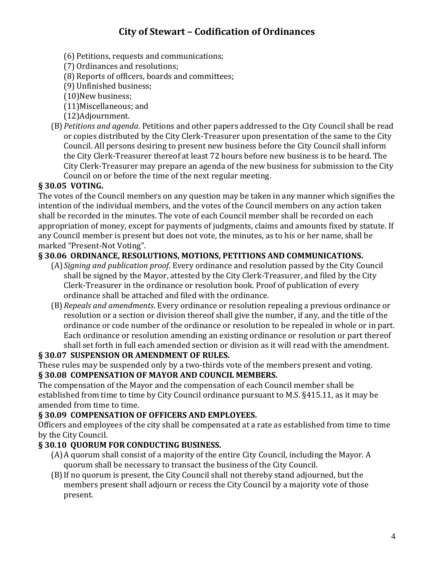- (6) Petitions, requests and communications;
- (7) Ordinances and resolutions;
- (8) Reports of officers, boards and committees;
- (9) Unfinished business;
- (10)New business;
- (11)Miscellaneous; and
- (12)Adjournment.
- (B)*Petitions and agenda*. Petitions and other papers addressed to the City Council shall be read or copies distributed by the City Clerk-Treasurer upon presentation of the same to the City Council. All persons desiring to present new business before the City Council shall inform the City Clerk-Treasurer thereof at least 72 hours before new business is to be heard. The City Clerk-Treasurer may prepare an agenda of the new business for submission to the City Council on or before the time of the next regular meeting.

# **§ 30.05 VOTING.**

The votes of the Council members on any question may be taken in any manner which signifies the intention of the individual members, and the votes of the Council members on any action taken shall be recorded in the minutes. The vote of each Council member shall be recorded on each appropriation of money, except for payments of judgments, claims and amounts fixed by statute. If any Council member is present but does not vote, the minutes, as to his or her name, shall be marked "Present-Not Voting".

### **§ 30.06 ORDINANCE, RESOLUTIONS, MOTIONS, PETITIONS AND COMMUNICATIONS.**

- (A)*Signing and publication proof*. Every ordinance and resolution passed by the City Council shall be signed by the Mayor, attested by the City Clerk-Treasurer, and filed by the City Clerk-Treasurer in the ordinance or resolution book. Proof of publication of every ordinance shall be attached and filed with the ordinance.
- (B)*Repeals and amendments*. Every ordinance or resolution repealing a previous ordinance or resolution or a section or division thereof shall give the number, if any, and the title of the ordinance or code number of the ordinance or resolution to be repealed in whole or in part. Each ordinance or resolution amending an existing ordinance or resolution or part thereof shall set forth in full each amended section or division as it will read with the amendment.

#### **§ 30.07 SUSPENSION OR AMENDMENT OF RULES.**

These rules may be suspended only by a two-thirds vote of the members present and voting. **§ 30.08 COMPENSATION OF MAYOR AND COUNCIL MEMBERS.**

The compensation of the Mayor and the compensation of each Council member shall be established from time to time by City Council ordinance pursuant to M.S. §415.11, as it may be amended from time to time.

#### **§ 30.09 COMPENSATION OF OFFICERS AND EMPLOYEES.**

Officers and employees of the city shall be compensated at a rate as established from time to time by the City Council.

# **§ 30.10 QUORUM FOR CONDUCTING BUSINESS.**

- (A)A quorum shall consist of a majority of the entire City Council, including the Mayor. A quorum shall be necessary to transact the business of the City Council.
- (B)If no quorum is present, the City Council shall not thereby stand adjourned, but the members present shall adjourn or recess the City Council by a majority vote of those present.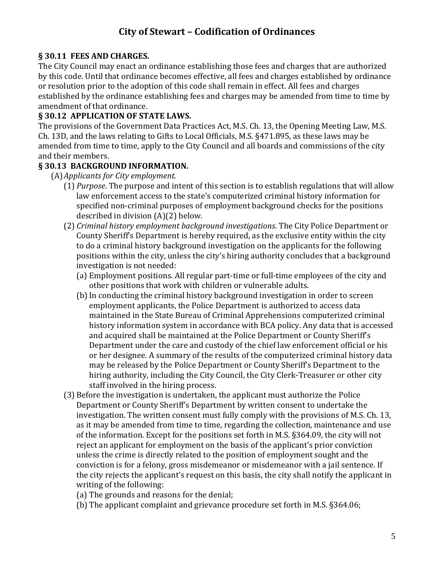#### **§ 30.11 FEES AND CHARGES.**

The City Council may enact an ordinance establishing those fees and charges that are authorized by this code. Until that ordinance becomes effective, all fees and charges established by ordinance or resolution prior to the adoption of this code shall remain in effect. All fees and charges established by the ordinance establishing fees and charges may be amended from time to time by amendment of that ordinance.

#### **§ 30.12 APPLICATION OF STATE LAWS.**

The provisions of the Government Data Practices Act, M.S. Ch. 13, the Opening Meeting Law, M.S. Ch. 13D, and the laws relating to Gifts to Local Officials, M.S. §471.895, as these laws may be amended from time to time, apply to the City Council and all boards and commissions of the city and their members.

#### **§ 30.13 BACKGROUND INFORMATION.**

(A)*Applicants for City employment.*

- (1) *Purpose*. The purpose and intent of this section is to establish regulations that will allow law enforcement access to the state's computerized criminal history information for specified non-criminal purposes of employment background checks for the positions described in division (A)(2) below.
- (2) *Criminal history employment background investigations*. The City Police Department or County Sheriff's Department is hereby required, as the exclusive entity within the city to do a criminal history background investigation on the applicants for the following positions within the city, unless the city's hiring authority concludes that a background investigation is not needed:
	- (a) Employment positions. All regular part-time or full-time employees of the city and other positions that work with children or vulnerable adults.
	- (b)In conducting the criminal history background investigation in order to screen employment applicants, the Police Department is authorized to access data maintained in the State Bureau of Criminal Apprehensions computerized criminal history information system in accordance with BCA policy. Any data that is accessed and acquired shall be maintained at the Police Department or County Sheriff's Department under the care and custody of the chief law enforcement official or his or her designee. A summary of the results of the computerized criminal history data may be released by the Police Department or County Sheriff's Department to the hiring authority, including the City Council, the City Clerk-Treasurer or other city staff involved in the hiring process.
- (3) Before the investigation is undertaken, the applicant must authorize the Police Department or County Sheriff's Department by written consent to undertake the investigation. The written consent must fully comply with the provisions of M.S. Ch. 13, as it may be amended from time to time, regarding the collection, maintenance and use of the information. Except for the positions set forth in M.S. §364.09, the city will not reject an applicant for employment on the basis of the applicant's prior conviction unless the crime is directly related to the position of employment sought and the conviction is for a felony, gross misdemeanor or misdemeanor with a jail sentence. If the city rejects the applicant's request on this basis, the city shall notify the applicant in writing of the following:
	- (a) The grounds and reasons for the denial;
	- (b) The applicant complaint and grievance procedure set forth in M.S. §364.06;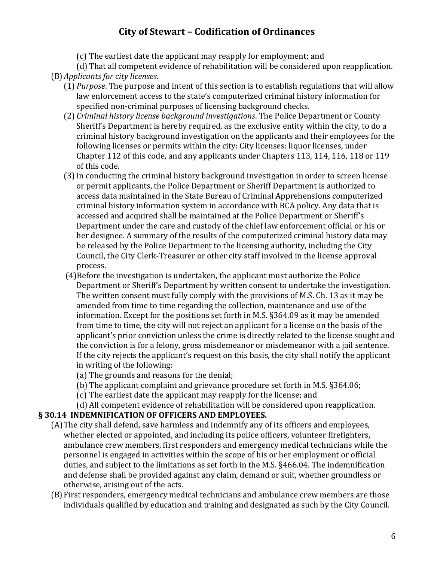(c) The earliest date the applicant may reapply for employment; and

(d) That all competent evidence of rehabilitation will be considered upon reapplication.

- (B)*Applicants for city licenses.*
	- (1) *Purpose*. The purpose and intent of this section is to establish regulations that will allow law enforcement access to the state's computerized criminal history information for specified non-criminal purposes of licensing background checks.
	- (2) *Criminal history license background investigations*. The Police Department or County Sheriff's Department is hereby required, as the exclusive entity within the city, to do a criminal history background investigation on the applicants and their employees for the following licenses or permits within the city: City licenses: liquor licenses, under Chapter 112 of this code, and any applicants under Chapters 113, 114, 116, 118 or 119 of this code.
	- (3)In conducting the criminal history background investigation in order to screen license or permit applicants, the Police Department or Sheriff Department is authorized to access data maintained in the State Bureau of Criminal Apprehensions computerized criminal history information system in accordance with BCA policy. Any data that is accessed and acquired shall be maintained at the Police Department or Sheriff's Department under the care and custody of the chief law enforcement official or his or her designee. A summary of the results of the computerized criminal history data may be released by the Police Department to the licensing authority, including the City Council, the City Clerk-Treasurer or other city staff involved in the license approval process.
	- (4)Before the investigation is undertaken, the applicant must authorize the Police Department or Sheriff's Department by written consent to undertake the investigation. The written consent must fully comply with the provisions of M.S. Ch. 13 as it may be amended from time to time regarding the collection, maintenance and use of the information. Except for the positions set forth in M.S. §364.09 as it may be amended from time to time, the city will not reject an applicant for a license on the basis of the applicant's prior conviction unless the crime is directly related to the license sought and the conviction is for a felony, gross misdemeanor or misdemeanor with a jail sentence. If the city rejects the applicant's request on this basis, the city shall notify the applicant in writing of the following:
		- (a) The grounds and reasons for the denial;
		- (b) The applicant complaint and grievance procedure set forth in M.S. §364.06;
		- (c) The earliest date the applicant may reapply for the license; and
			- (d) All competent evidence of rehabilitation will be considered upon reapplication.

#### **§ 30.14 INDEMNIFICATION OF OFFICERS AND EMPLOYEES.**

- (A)The city shall defend, save harmless and indemnify any of its officers and employees, whether elected or appointed, and including its police officers, volunteer firefighters, ambulance crew members, first responders and emergency medical technicians while the personnel is engaged in activities within the scope of his or her employment or official duties, and subject to the limitations as set forth in the M.S. §466.04. The indemnification and defense shall be provided against any claim, demand or suit, whether groundless or otherwise, arising out of the acts.
- (B)First responders, emergency medical technicians and ambulance crew members are those individuals qualified by education and training and designated as such by the City Council.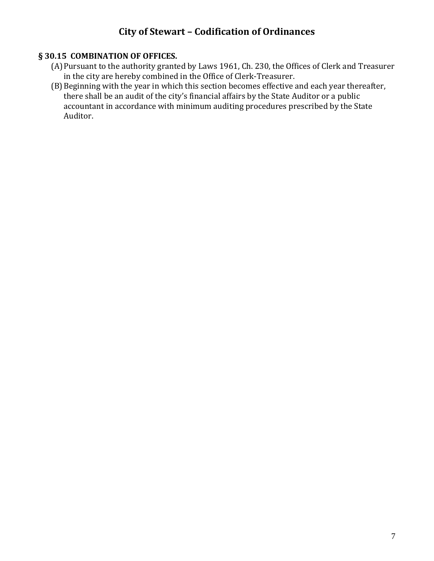## **§ 30.15 COMBINATION OF OFFICES.**

- (A)Pursuant to the authority granted by Laws 1961, Ch. 230, the Offices of Clerk and Treasurer in the city are hereby combined in the Office of Clerk-Treasurer.
- (B) Beginning with the year in which this section becomes effective and each year thereafter, there shall be an audit of the city's financial affairs by the State Auditor or a public accountant in accordance with minimum auditing procedures prescribed by the State Auditor.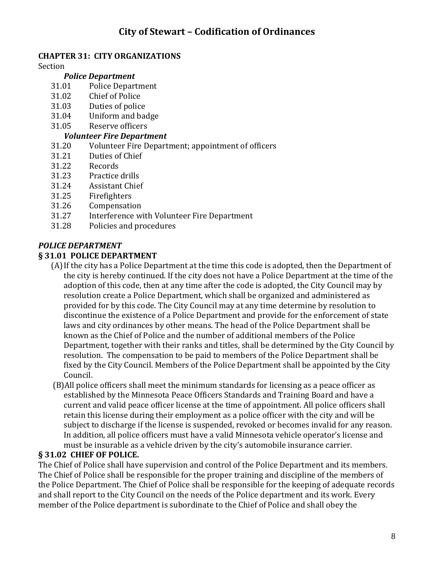# **CHAPTER 31: CITY ORGANIZATIONS**

Section

#### *Police Department*

- 31.01 Police Department
- 31.02 Chief of Police
- 31.03 Duties of police
- 31.04 Uniform and badge
- 31.05 Reserve officers
- *Volunteer Fire Department*
- 31.20 Volunteer Fire Department; appointment of officers
- 31.21 Duties of Chief
- 31.22 Records
- 31.23 Practice drills
- 31.24 Assistant Chief
- 31.25 Firefighters
- 31.26 Compensation
- 31.27 Interference with Volunteer Fire Department
- 31.28 Policies and procedures

#### *POLICE DEPARTMENT*

#### **§ 31.01 POLICE DEPARTMENT**

- (A)If the city has a Police Department at the time this code is adopted, then the Department of the city is hereby continued. If the city does not have a Police Department at the time of the adoption of this code, then at any time after the code is adopted, the City Council may by resolution create a Police Department, which shall be organized and administered as provided for by this code. The City Council may at any time determine by resolution to discontinue the existence of a Police Department and provide for the enforcement of state laws and city ordinances by other means. The head of the Police Department shall be known as the Chief of Police and the number of additional members of the Police Department, together with their ranks and titles, shall be determined by the City Council by resolution. The compensation to be paid to members of the Police Department shall be fixed by the City Council. Members of the Police Department shall be appointed by the City Council.
- (B)All police officers shall meet the minimum standards for licensing as a peace officer as established by the Minnesota Peace Officers Standards and Training Board and have a current and valid peace officer license at the time of appointment. All police officers shall retain this license during their employment as a police officer with the city and will be subject to discharge if the license is suspended, revoked or becomes invalid for any reason. In addition, all police officers must have a valid Minnesota vehicle operator's license and must be insurable as a vehicle driven by the city's automobile insurance carrier.

#### **§ 31.02 CHIEF OF POLICE.**

The Chief of Police shall have supervision and control of the Police Department and its members. The Chief of Police shall be responsible for the proper training and discipline of the members of the Police Department. The Chief of Police shall be responsible for the keeping of adequate records and shall report to the City Council on the needs of the Police department and its work. Every member of the Police department is subordinate to the Chief of Police and shall obey the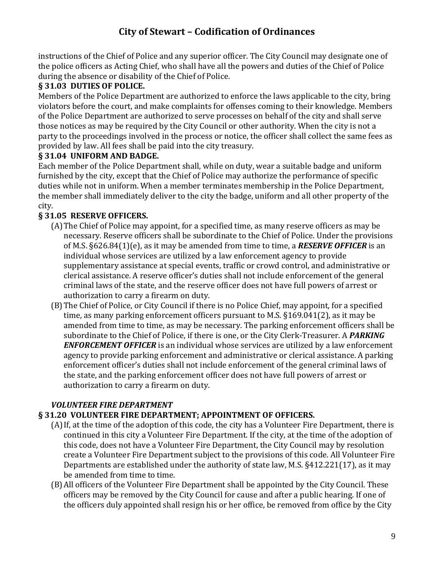instructions of the Chief of Police and any superior officer. The City Council may designate one of the police officers as Acting Chief, who shall have all the powers and duties of the Chief of Police during the absence or disability of the Chief of Police.

# **§ 31.03 DUTIES OF POLICE.**

Members of the Police Department are authorized to enforce the laws applicable to the city, bring violators before the court, and make complaints for offenses coming to their knowledge. Members of the Police Department are authorized to serve processes on behalf of the city and shall serve those notices as may be required by the City Council or other authority. When the city is not a party to the proceedings involved in the process or notice, the officer shall collect the same fees as provided by law. All fees shall be paid into the city treasury.

### **§ 31.04 UNIFORM AND BADGE.**

Each member of the Police Department shall, while on duty, wear a suitable badge and uniform furnished by the city, except that the Chief of Police may authorize the performance of specific duties while not in uniform. When a member terminates membership in the Police Department, the member shall immediately deliver to the city the badge, uniform and all other property of the city.

# **§ 31.05 RESERVE OFFICERS.**

- (A)The Chief of Police may appoint, for a specified time, as many reserve officers as may be necessary. Reserve officers shall be subordinate to the Chief of Police. Under the provisions of M.S. §626.84(1)(e), as it may be amended from time to time, a *RESERVE OFFICER* is an individual whose services are utilized by a law enforcement agency to provide supplementary assistance at special events, traffic or crowd control, and administrative or clerical assistance. A reserve officer's duties shall not include enforcement of the general criminal laws of the state, and the reserve officer does not have full powers of arrest or authorization to carry a firearm on duty.
- (B)The Chief of Police, or City Council if there is no Police Chief, may appoint, for a specified time, as many parking enforcement officers pursuant to M.S. §169.041(2), as it may be amended from time to time, as may be necessary. The parking enforcement officers shall be subordinate to the Chief of Police, if there is one, or the City Clerk-Treasurer. A *PARKING ENFORCEMENT OFFICER* is an individual whose services are utilized by a law enforcement agency to provide parking enforcement and administrative or clerical assistance. A parking enforcement officer's duties shall not include enforcement of the general criminal laws of the state, and the parking enforcement officer does not have full powers of arrest or authorization to carry a firearm on duty.

# *VOLUNTEER FIRE DEPARTMENT*

# **§ 31.20 VOLUNTEER FIRE DEPARTMENT; APPOINTMENT OF OFFICERS.**

- (A)If, at the time of the adoption of this code, the city has a Volunteer Fire Department, there is continued in this city a Volunteer Fire Department. If the city, at the time of the adoption of this code, does not have a Volunteer Fire Department, the City Council may by resolution create a Volunteer Fire Department subject to the provisions of this code. All Volunteer Fire Departments are established under the authority of state law, M.S. §412.221(17), as it may be amended from time to time.
- (B)All officers of the Volunteer Fire Department shall be appointed by the City Council. These officers may be removed by the City Council for cause and after a public hearing. If one of the officers duly appointed shall resign his or her office, be removed from office by the City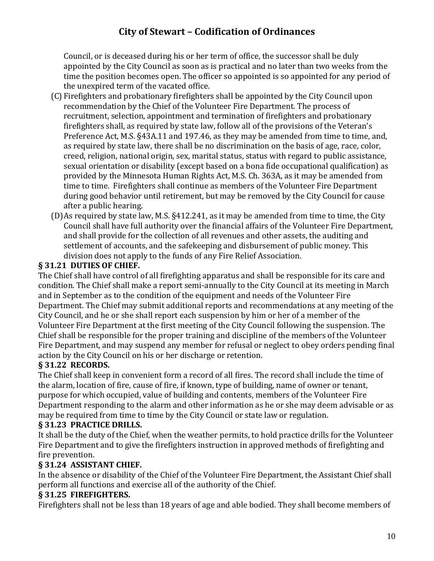Council, or is deceased during his or her term of office, the successor shall be duly appointed by the City Council as soon as is practical and no later than two weeks from the time the position becomes open. The officer so appointed is so appointed for any period of the unexpired term of the vacated office.

- (C) Firefighters and probationary firefighters shall be appointed by the City Council upon recommendation by the Chief of the Volunteer Fire Department. The process of recruitment, selection, appointment and termination of firefighters and probationary firefighters shall, as required by state law, follow all of the provisions of the Veteran's Preference Act, M.S. §43A.11 and 197.46, as they may be amended from time to time, and, as required by state law, there shall be no discrimination on the basis of age, race, color, creed, religion, national origin, sex, marital status, status with regard to public assistance, sexual orientation or disability (except based on a bona fide occupational qualification) as provided by the Minnesota Human Rights Act, M.S. Ch. 363A, as it may be amended from time to time. Firefighters shall continue as members of the Volunteer Fire Department during good behavior until retirement, but may be removed by the City Council for cause after a public hearing.
- (D)As required by state law, M.S. §412.241, as it may be amended from time to time, the City Council shall have full authority over the financial affairs of the Volunteer Fire Department, and shall provide for the collection of all revenues and other assets, the auditing and settlement of accounts, and the safekeeping and disbursement of public money. This division does not apply to the funds of any Fire Relief Association.

### **§ 31.21 DUTIES OF CHIEF.**

The Chief shall have control of all firefighting apparatus and shall be responsible for its care and condition. The Chief shall make a report semi-annually to the City Council at its meeting in March and in September as to the condition of the equipment and needs of the Volunteer Fire Department. The Chief may submit additional reports and recommendations at any meeting of the City Council, and he or she shall report each suspension by him or her of a member of the Volunteer Fire Department at the first meeting of the City Council following the suspension. The Chief shall be responsible for the proper training and discipline of the members of the Volunteer Fire Department, and may suspend any member for refusal or neglect to obey orders pending final action by the City Council on his or her discharge or retention.

# **§ 31.22 RECORDS.**

The Chief shall keep in convenient form a record of all fires. The record shall include the time of the alarm, location of fire, cause of fire, if known, type of building, name of owner or tenant, purpose for which occupied, value of building and contents, members of the Volunteer Fire Department responding to the alarm and other information as he or she may deem advisable or as may be required from time to time by the City Council or state law or regulation.

#### **§ 31.23 PRACTICE DRILLS.**

It shall be the duty of the Chief, when the weather permits, to hold practice drills for the Volunteer Fire Department and to give the firefighters instruction in approved methods of firefighting and fire prevention.

# **§ 31.24 ASSISTANT CHIEF.**

In the absence or disability of the Chief of the Volunteer Fire Department, the Assistant Chief shall perform all functions and exercise all of the authority of the Chief.

#### **§ 31.25 FIREFIGHTERS.**

Firefighters shall not be less than 18 years of age and able bodied. They shall become members of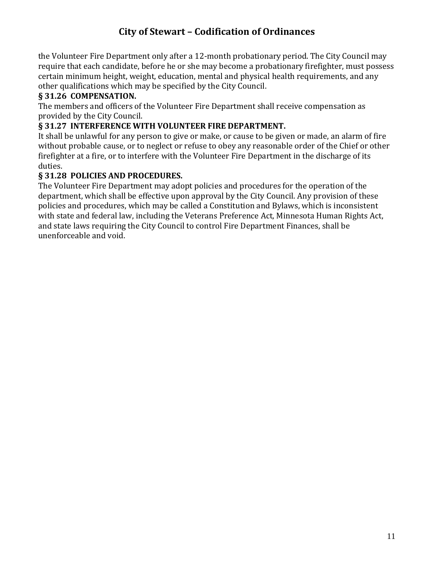the Volunteer Fire Department only after a 12-month probationary period. The City Council may require that each candidate, before he or she may become a probationary firefighter, must possess certain minimum height, weight, education, mental and physical health requirements, and any other qualifications which may be specified by the City Council.

## **§ 31.26 COMPENSATION.**

The members and officers of the Volunteer Fire Department shall receive compensation as provided by the City Council.

#### **§ 31.27 INTERFERENCE WITH VOLUNTEER FIRE DEPARTMENT.**

It shall be unlawful for any person to give or make, or cause to be given or made, an alarm of fire without probable cause, or to neglect or refuse to obey any reasonable order of the Chief or other firefighter at a fire, or to interfere with the Volunteer Fire Department in the discharge of its duties.

#### **§ 31.28 POLICIES AND PROCEDURES.**

The Volunteer Fire Department may adopt policies and procedures for the operation of the department, which shall be effective upon approval by the City Council. Any provision of these policies and procedures, which may be called a Constitution and Bylaws, which is inconsistent with state and federal law, including the Veterans Preference Act, Minnesota Human Rights Act, and state laws requiring the City Council to control Fire Department Finances, shall be unenforceable and void.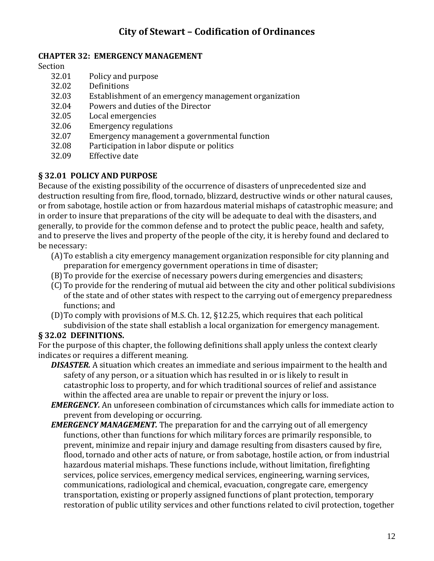#### **CHAPTER 32: EMERGENCY MANAGEMENT**

Section

- 32.01 Policy and purpose
- 32.02 Definitions
- 32.03 Establishment of an emergency management organization
- 32.04 Powers and duties of the Director
- 32.05 Local emergencies
- 32.06 Emergency regulations
- 32.07 Emergency management a governmental function
- 32.08 Participation in labor dispute or politics
- 32.09 Effective date

#### **§ 32.01 POLICY AND PURPOSE**

Because of the existing possibility of the occurrence of disasters of unprecedented size and destruction resulting from fire, flood, tornado, blizzard, destructive winds or other natural causes, or from sabotage, hostile action or from hazardous material mishaps of catastrophic measure; and in order to insure that preparations of the city will be adequate to deal with the disasters, and generally, to provide for the common defense and to protect the public peace, health and safety, and to preserve the lives and property of the people of the city, it is hereby found and declared to be necessary:

- (A)To establish a city emergency management organization responsible for city planning and preparation for emergency government operations in time of disaster;
- (B)To provide for the exercise of necessary powers during emergencies and disasters;
- (C) To provide for the rendering of mutual aid between the city and other political subdivisions of the state and of other states with respect to the carrying out of emergency preparedness functions; and
- (D)To comply with provisions of M.S. Ch. 12, §12.25, which requires that each political subdivision of the state shall establish a local organization for emergency management.

# **§ 32.02 DEFINITIONS.**

For the purpose of this chapter, the following definitions shall apply unless the context clearly indicates or requires a different meaning.

- *DISASTER.* A situation which creates an immediate and serious impairment to the health and safety of any person, or a situation which has resulted in or is likely to result in catastrophic loss to property, and for which traditional sources of relief and assistance within the affected area are unable to repair or prevent the injury or loss.
- *EMERGENCY.* An unforeseen combination of circumstances which calls for immediate action to prevent from developing or occurring.
- *EMERGENCY MANAGEMENT.* The preparation for and the carrying out of all emergency functions, other than functions for which military forces are primarily responsible, to prevent, minimize and repair injury and damage resulting from disasters caused by fire, flood, tornado and other acts of nature, or from sabotage, hostile action, or from industrial hazardous material mishaps. These functions include, without limitation, firefighting services, police services, emergency medical services, engineering, warning services, communications, radiological and chemical, evacuation, congregate care, emergency transportation, existing or properly assigned functions of plant protection, temporary restoration of public utility services and other functions related to civil protection, together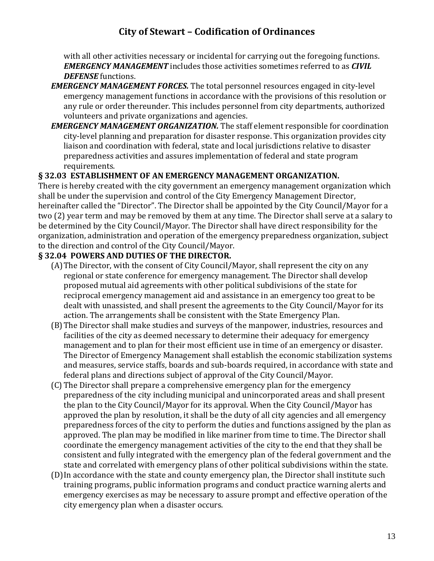with all other activities necessary or incidental for carrying out the foregoing functions. *EMERGENCY MANAGEMENT* includes those activities sometimes referred to as *CIVIL DEFENSE* functions.

- *EMERGENCY MANAGEMENT FORCES.* The total personnel resources engaged in city-level emergency management functions in accordance with the provisions of this resolution or any rule or order thereunder. This includes personnel from city departments, authorized volunteers and private organizations and agencies.
- *EMERGENCY MANAGEMENT ORGANIZATION.* The staff element responsible for coordination city-level planning and preparation for disaster response. This organization provides city liaison and coordination with federal, state and local jurisdictions relative to disaster preparedness activities and assures implementation of federal and state program requirements.

#### **§ 32.03 ESTABLISHMENT OF AN EMERGENCY MANAGEMENT ORGANIZATION.**

There is hereby created with the city government an emergency management organization which shall be under the supervision and control of the City Emergency Management Director, hereinafter called the "Director". The Director shall be appointed by the City Council/Mayor for a two (2) year term and may be removed by them at any time. The Director shall serve at a salary to be determined by the City Council/Mayor. The Director shall have direct responsibility for the organization, administration and operation of the emergency preparedness organization, subject to the direction and control of the City Council/Mayor.

#### **§ 32.04 POWERS AND DUTIES OF THE DIRECTOR.**

- (A)The Director, with the consent of City Council/Mayor, shall represent the city on any regional or state conference for emergency management. The Director shall develop proposed mutual aid agreements with other political subdivisions of the state for reciprocal emergency management aid and assistance in an emergency too great to be dealt with unassisted, and shall present the agreements to the City Council/Mayor for its action. The arrangements shall be consistent with the State Emergency Plan.
- (B)The Director shall make studies and surveys of the manpower, industries, resources and facilities of the city as deemed necessary to determine their adequacy for emergency management and to plan for their most efficient use in time of an emergency or disaster. The Director of Emergency Management shall establish the economic stabilization systems and measures, service staffs, boards and sub-boards required, in accordance with state and federal plans and directions subject of approval of the City Council/Mayor.
- (C) The Director shall prepare a comprehensive emergency plan for the emergency preparedness of the city including municipal and unincorporated areas and shall present the plan to the City Council/Mayor for its approval. When the City Council/Mayor has approved the plan by resolution, it shall be the duty of all city agencies and all emergency preparedness forces of the city to perform the duties and functions assigned by the plan as approved. The plan may be modified in like mariner from time to time. The Director shall coordinate the emergency management activities of the city to the end that they shall be consistent and fully integrated with the emergency plan of the federal government and the state and correlated with emergency plans of other political subdivisions within the state.
- (D)In accordance with the state and county emergency plan, the Director shall institute such training programs, public information programs and conduct practice warning alerts and emergency exercises as may be necessary to assure prompt and effective operation of the city emergency plan when a disaster occurs.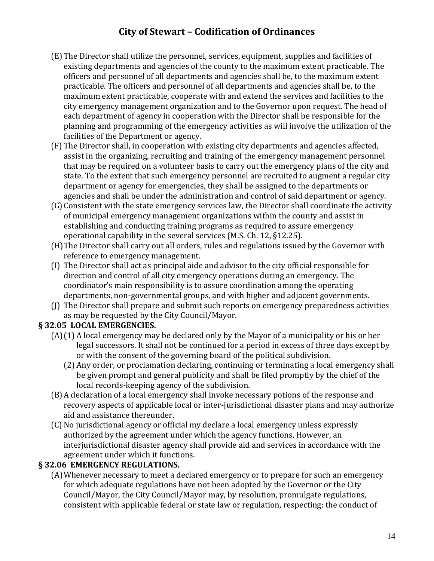- (E) The Director shall utilize the personnel, services, equipment, supplies and facilities of existing departments and agencies of the county to the maximum extent practicable. The officers and personnel of all departments and agencies shall be, to the maximum extent practicable. The officers and personnel of all departments and agencies shall be, to the maximum extent practicable, cooperate with and extend the services and facilities to the city emergency management organization and to the Governor upon request. The head of each department of agency in cooperation with the Director shall be responsible for the planning and programming of the emergency activities as will involve the utilization of the facilities of the Department or agency.
- (F) The Director shall, in cooperation with existing city departments and agencies affected, assist in the organizing, recruiting and training of the emergency management personnel that may be required on a volunteer basis to carry out the emergency plans of the city and state. To the extent that such emergency personnel are recruited to augment a regular city department or agency for emergencies, they shall be assigned to the departments or agencies and shall be under the administration and control of said department or agency.
- (G)Consistent with the state emergency services law, the Director shall coordinate the activity of municipal emergency management organizations within the county and assist in establishing and conducting training programs as required to assure emergency operational capability in the several services (M.S. Ch. 12, §12.25).
- (H)The Director shall carry out all orders, rules and regulations issued by the Governor with reference to emergency management.
- (I) The Director shall act as principal aide and advisor to the city official responsible for direction and control of all city emergency operations during an emergency. The coordinator's main responsibility is to assure coordination among the operating departments, non-governmental groups, and with higher and adjacent governments.
- (J) The Director shall prepare and submit such reports on emergency preparedness activities as may be requested by the City Council/Mayor.

# **§ 32.05 LOCAL EMERGENCIES.**

- (A)(1) A local emergency may be declared only by the Mayor of a municipality or his or her legal successors. It shall not be continued for a period in excess of three days except by or with the consent of the governing board of the political subdivision.
	- (2) Any order, or proclamation declaring, continuing or terminating a local emergency shall be given prompt and general publicity and shall be filed promptly by the chief of the local records-keeping agency of the subdivision.
- (B)A declaration of a local emergency shall invoke necessary potions of the response and recovery aspects of applicable local or inter-jurisdictional disaster plans and may authorize aid and assistance thereunder.
- (C) No jurisdictional agency or official my declare a local emergency unless expressly authorized by the agreement under which the agency functions, However, an interjurisdictional disaster agency shall provide aid and services in accordance with the agreement under which it functions.

# **§ 32.06 EMERGENCY REGULATIONS.**

(A)Whenever necessary to meet a declared emergency or to prepare for such an emergency for which adequate regulations have not been adopted by the Governor or the City Council/Mayor, the City Council/Mayor may, by resolution, promulgate regulations, consistent with applicable federal or state law or regulation, respecting: the conduct of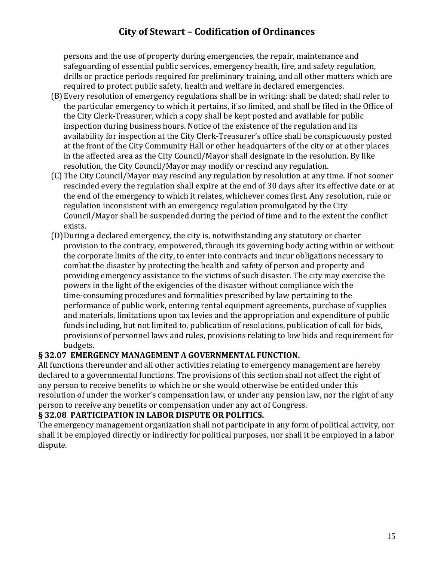persons and the use of property during emergencies, the repair, maintenance and safeguarding of essential public services, emergency health, fire, and safety regulation, drills or practice periods required for preliminary training, and all other matters which are required to protect public safety, health and welfare in declared emergencies.

- (B)Every resolution of emergency regulations shall be in writing: shall be dated; shall refer to the particular emergency to which it pertains, if so limited, and shall be filed in the Office of the City Clerk-Treasurer, which a copy shall be kept posted and available for public inspection during business hours. Notice of the existence of the regulation and its availability for inspection at the City Clerk-Treasurer's office shall be conspicuously posted at the front of the City Community Hall or other headquarters of the city or at other places in the affected area as the City Council/Mayor shall designate in the resolution. By like resolution, the City Council/Mayor may modify or rescind any regulation.
- (C) The City Council/Mayor may rescind any regulation by resolution at any time. If not sooner rescinded every the regulation shall expire at the end of 30 days after its effective date or at the end of the emergency to which it relates, whichever comes first. Any resolution, rule or regulation inconsistent with an emergency regulation promulgated by the City Council/Mayor shall be suspended during the period of time and to the extent the conflict exists.
- (D)During a declared emergency, the city is, notwithstanding any statutory or charter provision to the contrary, empowered, through its governing body acting within or without the corporate limits of the city, to enter into contracts and incur obligations necessary to combat the disaster by protecting the health and safety of person and property and providing emergency assistance to the victims of such disaster. The city may exercise the powers in the light of the exigencies of the disaster without compliance with the time-consuming procedures and formalities prescribed by law pertaining to the performance of public work, entering rental equipment agreements, purchase of supplies and materials, limitations upon tax levies and the appropriation and expenditure of public funds including, but not limited to, publication of resolutions, publication of call for bids, provisions of personnel laws and rules, provisions relating to low bids and requirement for budgets.

# **§ 32.07 EMERGENCY MANAGEMENT A GOVERNMENTAL FUNCTION.**

All functions thereunder and all other activities relating to emergency management are hereby declared to a governmental functions. The provisions of this section shall not affect the right of any person to receive benefits to which he or she would otherwise be entitled under this resolution of under the worker's compensation law, or under any pension law, nor the right of any person to receive any benefits or compensation under any act of Congress.

#### **§ 32.08 PARTICIPATION IN LABOR DISPUTE OR POLITICS.**

The emergency management organization shall not participate in any form of political activity, nor shall it be employed directly or indirectly for political purposes, nor shall it be employed in a labor dispute.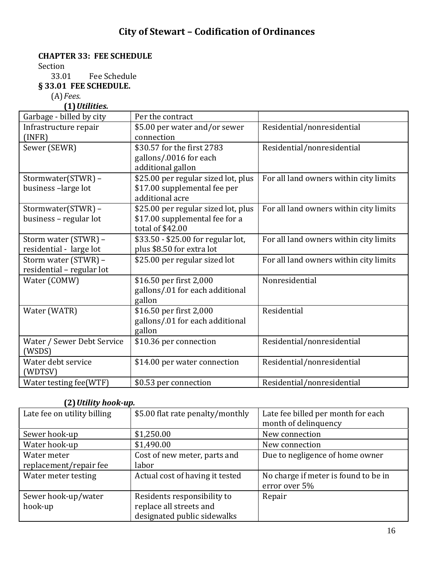### **CHAPTER 33: FEE SCHEDULE**

Section

33.01 Fee Schedule

**§ 33.01 FEE SCHEDULE.**

(A)*Fees.*

**(1)***Utilities.*

| Garbage - billed by city   | Per the contract                    |                                        |
|----------------------------|-------------------------------------|----------------------------------------|
| Infrastructure repair      | \$5.00 per water and/or sewer       | Residential/nonresidential             |
| (INFR)                     | connection                          |                                        |
| Sewer (SEWR)               | \$30.57 for the first 2783          | Residential/nonresidential             |
|                            | gallons/.0016 for each              |                                        |
|                            | additional gallon                   |                                        |
| Stormwater(STWR) -         | \$25.00 per regular sized lot, plus | For all land owners within city limits |
| business-large lot         | \$17.00 supplemental fee per        |                                        |
|                            | additional acre                     |                                        |
| Stormwater(STWR) -         | \$25.00 per regular sized lot, plus | For all land owners within city limits |
| business - regular lot     | \$17.00 supplemental fee for a      |                                        |
|                            | total of \$42.00                    |                                        |
| Storm water (STWR) -       | \$33.50 - \$25.00 for regular lot,  | For all land owners within city limits |
| residential - large lot    | plus \$8.50 for extra lot           |                                        |
| Storm water (STWR) -       | \$25.00 per regular sized lot       | For all land owners within city limits |
| residential - regular lot  |                                     |                                        |
| Water (COMW)               | \$16.50 per first 2,000             | Nonresidential                         |
|                            | gallons/.01 for each additional     |                                        |
|                            | gallon                              |                                        |
| Water (WATR)               | \$16.50 per first 2,000             | Residential                            |
|                            | gallons/.01 for each additional     |                                        |
|                            | gallon                              |                                        |
| Water / Sewer Debt Service | \$10.36 per connection              | Residential/nonresidential             |
| (WSDS)                     |                                     |                                        |
| Water debt service         | \$14.00 per water connection        | Residential/nonresidential             |
| (WDTSV)                    |                                     |                                        |
| Water testing fee(WTF)     | \$0.53 per connection               | Residential/nonresidential             |

#### **(2)***Utility hook-up.*

| Late fee on utility billing           | \$5.00 flat rate penalty/monthly      | Late fee billed per month for each<br>month of delinquency |
|---------------------------------------|---------------------------------------|------------------------------------------------------------|
| Sewer hook-up                         | \$1,250.00                            | New connection                                             |
| Water hook-up                         | \$1,490.00                            | New connection                                             |
| Water meter<br>replacement/repair fee | Cost of new meter, parts and<br>labor | Due to negligence of home owner                            |
| Water meter testing                   | Actual cost of having it tested       | No charge if meter is found to be in                       |
|                                       |                                       | error over 5%                                              |
| Sewer hook-up/water                   | Residents responsibility to           | Repair                                                     |
| hook-up                               | replace all streets and               |                                                            |
|                                       | designated public sidewalks           |                                                            |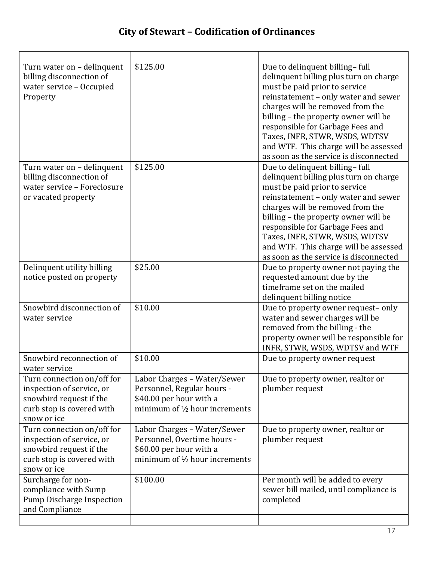$\mathsf{r}$ 

| Turn water on – delinquent<br>billing disconnection of<br>water service - Occupied<br>Property                                 | \$125.00                                                                                                                          | Due to delinquent billing-full<br>delinquent billing plus turn on charge<br>must be paid prior to service<br>reinstatement - only water and sewer<br>charges will be removed from the<br>billing - the property owner will be<br>responsible for Garbage Fees and<br>Taxes, INFR, STWR, WSDS, WDTSV<br>and WTF. This charge will be assessed<br>as soon as the service is disconnected |
|--------------------------------------------------------------------------------------------------------------------------------|-----------------------------------------------------------------------------------------------------------------------------------|----------------------------------------------------------------------------------------------------------------------------------------------------------------------------------------------------------------------------------------------------------------------------------------------------------------------------------------------------------------------------------------|
| Turn water on - delinquent<br>billing disconnection of<br>water service - Foreclosure<br>or vacated property                   | \$125.00                                                                                                                          | Due to delinquent billing-full<br>delinquent billing plus turn on charge<br>must be paid prior to service<br>reinstatement - only water and sewer<br>charges will be removed from the<br>billing - the property owner will be<br>responsible for Garbage Fees and<br>Taxes, INFR, STWR, WSDS, WDTSV<br>and WTF. This charge will be assessed<br>as soon as the service is disconnected |
| Delinquent utility billing<br>notice posted on property                                                                        | \$25.00                                                                                                                           | Due to property owner not paying the<br>requested amount due by the<br>timeframe set on the mailed<br>delinquent billing notice                                                                                                                                                                                                                                                        |
| Snowbird disconnection of<br>water service                                                                                     | \$10.00                                                                                                                           | Due to property owner request-only<br>water and sewer charges will be<br>removed from the billing - the<br>property owner will be responsible for<br>INFR, STWR, WSDS, WDTSV and WTF                                                                                                                                                                                                   |
| Snowbird reconnection of<br>water service                                                                                      | \$10.00                                                                                                                           | Due to property owner request                                                                                                                                                                                                                                                                                                                                                          |
| Turn connection on/off for<br>inspection of service, or<br>snowbird request if the<br>curb stop is covered with<br>snow or ice | Labor Charges - Water/Sewer<br>Personnel, Regular hours -<br>\$40.00 per hour with a<br>minimum of $\frac{1}{2}$ hour increments  | Due to property owner, realtor or<br>plumber request                                                                                                                                                                                                                                                                                                                                   |
| Turn connection on/off for<br>inspection of service, or<br>snowbird request if the<br>curb stop is covered with<br>snow or ice | Labor Charges - Water/Sewer<br>Personnel, Overtime hours -<br>\$60.00 per hour with a<br>minimum of $\frac{1}{2}$ hour increments | Due to property owner, realtor or<br>plumber request                                                                                                                                                                                                                                                                                                                                   |
| Surcharge for non-<br>compliance with Sump<br><b>Pump Discharge Inspection</b><br>and Compliance                               | \$100.00                                                                                                                          | Per month will be added to every<br>sewer bill mailed, until compliance is<br>completed                                                                                                                                                                                                                                                                                                |

٦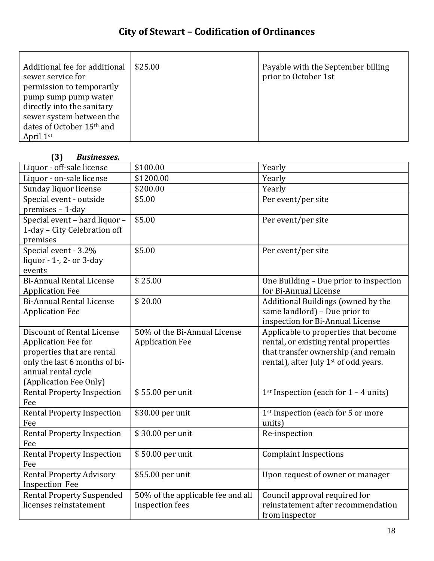| Additional fee for additional | \$25.00 | Payable with the September billing |
|-------------------------------|---------|------------------------------------|
| sewer service for             |         | prior to October 1st               |
| permission to temporarily     |         |                                    |
| pump sump pump water          |         |                                    |
| directly into the sanitary    |         |                                    |
| sewer system between the      |         |                                    |
| dates of October 15th and     |         |                                    |
| April 1st                     |         |                                    |

## **(3)** *Businesses.*

| Liquor - off-sale license         | \$100.00                          | Yearly                                              |
|-----------------------------------|-----------------------------------|-----------------------------------------------------|
| Liquor - on-sale license          | \$1200.00                         | Yearly                                              |
| Sunday liquor license             | \$200.00                          | Yearly                                              |
| Special event - outside           | \$5.00                            | Per event/per site                                  |
| premises - 1-day                  |                                   |                                                     |
| Special event - hard liquor -     | \$5.00                            | Per event/per site                                  |
| 1-day - City Celebration off      |                                   |                                                     |
| premises                          |                                   |                                                     |
| Special event - 3.2%              | \$5.00                            | Per event/per site                                  |
| liquor - 1-, 2- or 3-day          |                                   |                                                     |
| events                            |                                   |                                                     |
| <b>Bi-Annual Rental License</b>   | \$25.00                           | One Building - Due prior to inspection              |
| <b>Application Fee</b>            |                                   | for Bi-Annual License                               |
| <b>Bi-Annual Rental License</b>   | \$20.00                           | Additional Buildings (owned by the                  |
| <b>Application Fee</b>            |                                   | same landlord) - Due prior to                       |
|                                   |                                   | inspection for Bi-Annual License                    |
| Discount of Rental License        | 50% of the Bi-Annual License      | Applicable to properties that become                |
| <b>Application Fee for</b>        | <b>Application Fee</b>            | rental, or existing rental properties               |
| properties that are rental        |                                   | that transfer ownership (and remain                 |
| only the last 6 months of bi-     |                                   | rental), after July 1 <sup>st</sup> of odd years.   |
| annual rental cycle               |                                   |                                                     |
| (Application Fee Only)            |                                   |                                                     |
| <b>Rental Property Inspection</b> | \$55.00 per unit                  | 1 <sup>st</sup> Inspection (each for $1 - 4$ units) |
| Fee                               |                                   |                                                     |
| <b>Rental Property Inspection</b> | \$30.00 per unit                  | 1 <sup>st</sup> Inspection (each for 5 or more      |
| Fee                               |                                   | units)                                              |
| <b>Rental Property Inspection</b> | \$30.00 per unit                  | Re-inspection                                       |
| Fee                               |                                   |                                                     |
| <b>Rental Property Inspection</b> | \$50.00 per unit                  | <b>Complaint Inspections</b>                        |
| Fee                               |                                   |                                                     |
| <b>Rental Property Advisory</b>   | \$55.00 per unit                  | Upon request of owner or manager                    |
| <b>Inspection Fee</b>             |                                   |                                                     |
| <b>Rental Property Suspended</b>  | 50% of the applicable fee and all | Council approval required for                       |
| licenses reinstatement            | inspection fees                   | reinstatement after recommendation                  |
|                                   |                                   | from inspector                                      |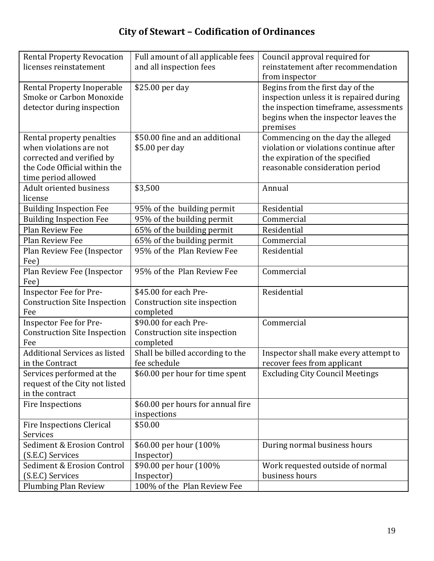| <b>Rental Property Revocation</b>          | Full amount of all applicable fees        | Council approval required for           |
|--------------------------------------------|-------------------------------------------|-----------------------------------------|
| licenses reinstatement                     | and all inspection fees                   | reinstatement after recommendation      |
|                                            |                                           | from inspector                          |
| <b>Rental Property Inoperable</b>          | \$25.00 per day                           | Begins from the first day of the        |
| Smoke or Carbon Monoxide                   |                                           | inspection unless it is repaired during |
| detector during inspection                 |                                           | the inspection timeframe, assessments   |
|                                            |                                           | begins when the inspector leaves the    |
|                                            |                                           | premises                                |
| Rental property penalties                  | \$50.00 fine and an additional            | Commencing on the day the alleged       |
| when violations are not                    | \$5.00 per day                            | violation or violations continue after  |
| corrected and verified by                  |                                           | the expiration of the specified         |
| the Code Official within the               |                                           | reasonable consideration period         |
| time period allowed                        |                                           |                                         |
| <b>Adult oriented business</b>             | \$3,500                                   | Annual                                  |
| license                                    |                                           |                                         |
| <b>Building Inspection Fee</b>             | 95% of the building permit                | Residential                             |
| <b>Building Inspection Fee</b>             | 95% of the building permit                | Commercial                              |
| Plan Review Fee                            | 65% of the building permit                | Residential                             |
| Plan Review Fee                            | 65% of the building permit                | Commercial                              |
| Plan Review Fee (Inspector                 | 95% of the Plan Review Fee                | Residential                             |
| Fee)                                       |                                           |                                         |
| Plan Review Fee (Inspector                 | 95% of the Plan Review Fee                | Commercial                              |
| Fee)                                       | \$45.00 for each Pre-                     | Residential                             |
| <b>Inspector Fee for Pre-</b>              |                                           |                                         |
| <b>Construction Site Inspection</b><br>Fee | Construction site inspection<br>completed |                                         |
| Inspector Fee for Pre-                     | \$90.00 for each Pre-                     | Commercial                              |
| <b>Construction Site Inspection</b>        | Construction site inspection              |                                         |
| Fee                                        | completed                                 |                                         |
| <b>Additional Services as listed</b>       | Shall be billed according to the          | Inspector shall make every attempt to   |
| in the Contract                            | fee schedule                              | recover fees from applicant             |
| Services performed at the                  | \$60.00 per hour for time spent           | <b>Excluding City Council Meetings</b>  |
| request of the City not listed             |                                           |                                         |
| in the contract                            |                                           |                                         |
| <b>Fire Inspections</b>                    | \$60.00 per hours for annual fire         |                                         |
|                                            | inspections                               |                                         |
| Fire Inspections Clerical                  | \$50.00                                   |                                         |
| Services                                   |                                           |                                         |
| Sediment & Erosion Control                 | \$60.00 per hour (100%                    | During normal business hours            |
| (S.E.C) Services                           | Inspector)                                |                                         |
| Sediment & Erosion Control                 | \$90.00 per hour (100%                    | Work requested outside of normal        |
| (S.E.C) Services                           | Inspector)                                | business hours                          |
| <b>Plumbing Plan Review</b>                | 100% of the Plan Review Fee               |                                         |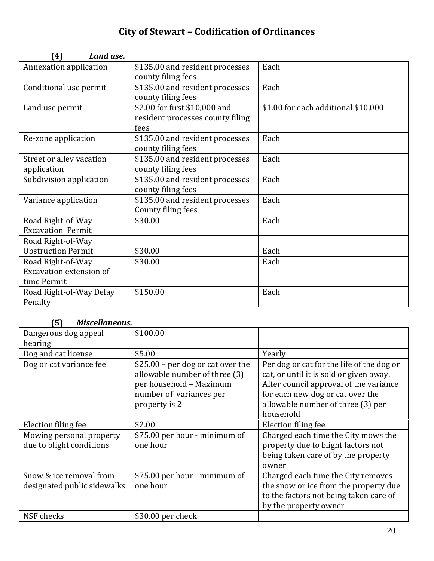| Land use.<br>(4)          |                                  |                                     |
|---------------------------|----------------------------------|-------------------------------------|
| Annexation application    | \$135.00 and resident processes  | Each                                |
|                           | county filing fees               |                                     |
| Conditional use permit    | \$135.00 and resident processes  | Each                                |
|                           | county filing fees               |                                     |
| Land use permit           | \$2.00 for first \$10,000 and    | \$1.00 for each additional \$10,000 |
|                           | resident processes county filing |                                     |
|                           | fees                             |                                     |
| Re-zone application       | \$135.00 and resident processes  | Each                                |
|                           | county filing fees               |                                     |
| Street or alley vacation  | \$135.00 and resident processes  | Each                                |
| application               | county filing fees               |                                     |
| Subdivision application   | \$135.00 and resident processes  | Each                                |
|                           | county filing fees               |                                     |
| Variance application      | \$135.00 and resident processes  | Each                                |
|                           | County filing fees               |                                     |
| Road Right-of-Way         | \$30.00                          | Each                                |
| <b>Excavation Permit</b>  |                                  |                                     |
| Road Right-of-Way         |                                  |                                     |
| <b>Obstruction Permit</b> | \$30.00                          | Each                                |
| Road Right-of-Way         | \$30.00                          | Each                                |
| Excavation extension of   |                                  |                                     |
| time Permit               |                                  |                                     |
| Road Right-of-Way Delay   | \$150.00                         | Each                                |
| Penalty                   |                                  |                                     |

# **(5)** *Miscellaneous.*

| <i>I'll</i> juulluiluuji                               |                                                                                                                                            |                                                                                                                                                                                                                      |
|--------------------------------------------------------|--------------------------------------------------------------------------------------------------------------------------------------------|----------------------------------------------------------------------------------------------------------------------------------------------------------------------------------------------------------------------|
| Dangerous dog appeal<br>hearing                        | \$100.00                                                                                                                                   |                                                                                                                                                                                                                      |
| Dog and cat license                                    | \$5.00                                                                                                                                     | Yearly                                                                                                                                                                                                               |
| Dog or cat variance fee                                | $$25.00$ – per dog or cat over the<br>allowable number of three (3)<br>per household - Maximum<br>number of variances per<br>property is 2 | Per dog or cat for the life of the dog or<br>cat, or until it is sold or given away.<br>After council approval of the variance<br>for each new dog or cat over the<br>allowable number of three (3) per<br>household |
| Election filing fee                                    | \$2.00                                                                                                                                     | Election filing fee                                                                                                                                                                                                  |
| Mowing personal property<br>due to blight conditions   | \$75.00 per hour - minimum of<br>one hour                                                                                                  | Charged each time the City mows the<br>property due to blight factors not<br>being taken care of by the property<br>owner                                                                                            |
| Snow & ice removal from<br>designated public sidewalks | \$75.00 per hour - minimum of<br>one hour                                                                                                  | Charged each time the City removes<br>the snow or ice from the property due<br>to the factors not being taken care of<br>by the property owner                                                                       |
| NSF checks                                             | \$30.00 per check                                                                                                                          |                                                                                                                                                                                                                      |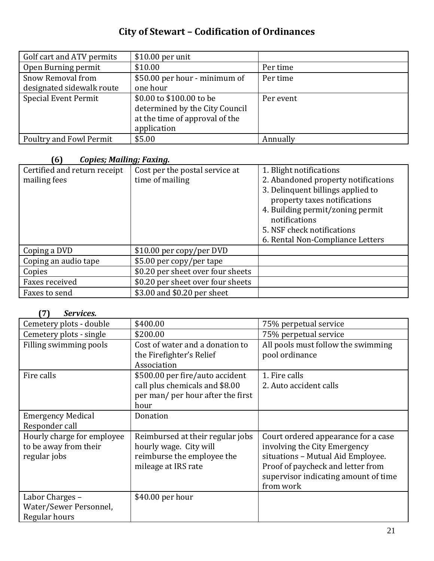| Golf cart and ATV permits   | $$10.00$ per unit              |           |
|-----------------------------|--------------------------------|-----------|
| Open Burning permit         | \$10.00                        | Per time  |
| Snow Removal from           | \$50.00 per hour - minimum of  | Per time  |
| designated sidewalk route   | one hour                       |           |
| <b>Special Event Permit</b> | \$0.00 to \$100.00 to be       | Per event |
|                             | determined by the City Council |           |
|                             | at the time of approval of the |           |
|                             | application                    |           |
| Poultry and Fowl Permit     | \$5.00                         | Annually  |

# **(6)** *Copies; Mailing; Faxing.*

| Certified and return receipt | Cost per the postal service at    | 1. Blight notifications                                           |
|------------------------------|-----------------------------------|-------------------------------------------------------------------|
| mailing fees                 | time of mailing                   | 2. Abandoned property notifications                               |
|                              |                                   | 3. Delinquent billings applied to<br>property taxes notifications |
|                              |                                   | 4. Building permit/zoning permit<br>notifications                 |
|                              |                                   | 5. NSF check notifications                                        |
|                              |                                   | 6. Rental Non-Compliance Letters                                  |
| Coping a DVD                 | \$10.00 per copy/per DVD          |                                                                   |
| Coping an audio tape         | \$5.00 per copy/per tape          |                                                                   |
| Copies                       | \$0.20 per sheet over four sheets |                                                                   |
| Faxes received               | \$0.20 per sheet over four sheets |                                                                   |
| Faxes to send                | \$3.00 and \$0.20 per sheet       |                                                                   |

# **(7)** *Services.*

| Cemetery plots - double    | \$400.00                          | 75% perpetual service                |
|----------------------------|-----------------------------------|--------------------------------------|
| Cemetery plots - single    | \$200.00                          | 75% perpetual service                |
| Filling swimming pools     | Cost of water and a donation to   | All pools must follow the swimming   |
|                            | the Firefighter's Relief          | pool ordinance                       |
|                            | Association                       |                                      |
| Fire calls                 | \$500.00 per fire/auto accident   | 1. Fire calls                        |
|                            | call plus chemicals and \$8.00    | 2. Auto accident calls               |
|                            | per man/ per hour after the first |                                      |
|                            | hour                              |                                      |
| <b>Emergency Medical</b>   | Donation                          |                                      |
| Responder call             |                                   |                                      |
| Hourly charge for employee | Reimbursed at their regular jobs  | Court ordered appearance for a case  |
| to be away from their      | hourly wage. City will            | involving the City Emergency         |
| regular jobs               | reimburse the employee the        | situations - Mutual Aid Employee.    |
|                            | mileage at IRS rate               | Proof of paycheck and letter from    |
|                            |                                   | supervisor indicating amount of time |
|                            |                                   | from work                            |
| Labor Charges -            | \$40.00 per hour                  |                                      |
| Water/Sewer Personnel,     |                                   |                                      |
| Regular hours              |                                   |                                      |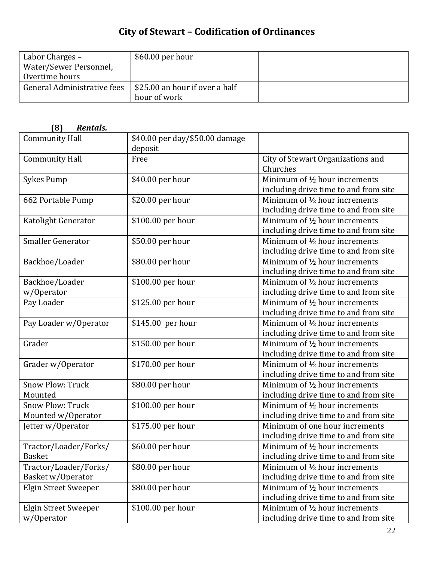| Labor Charges -             | $$60.00$ per hour                                            |  |
|-----------------------------|--------------------------------------------------------------|--|
| Water/Sewer Personnel,      |                                                              |  |
| Overtime hours              |                                                              |  |
| General Administrative fees | $\frac{1}{2}$ \$25.00 an hour if over a half<br>hour of work |  |

| (8)<br>Rentals.             |                                |                                               |
|-----------------------------|--------------------------------|-----------------------------------------------|
| <b>Community Hall</b>       | \$40.00 per day/\$50.00 damage |                                               |
|                             | deposit                        |                                               |
| <b>Community Hall</b>       | Free                           | City of Stewart Organizations and<br>Churches |
|                             |                                | Minimum of 1/2 hour increments                |
| <b>Sykes Pump</b>           | \$40.00 per hour               | including drive time to and from site         |
| 662 Portable Pump           | \$20.00 per hour               | Minimum of 1/2 hour increments                |
|                             |                                | including drive time to and from site         |
| Katolight Generator         | \$100.00 per hour              | Minimum of 1/2 hour increments                |
|                             |                                | including drive time to and from site         |
| <b>Smaller Generator</b>    | \$50.00 per hour               | Minimum of 1/2 hour increments                |
|                             |                                | including drive time to and from site         |
| Backhoe/Loader              | \$80.00 per hour               | Minimum of 1/2 hour increments                |
|                             |                                | including drive time to and from site         |
| Backhoe/Loader              | \$100.00 per hour              | Minimum of 1/2 hour increments                |
| w/Operator                  |                                | including drive time to and from site         |
| Pay Loader                  | \$125.00 per hour              | Minimum of 1/2 hour increments                |
|                             |                                | including drive time to and from site         |
| Pay Loader w/Operator       | \$145.00 per hour              | Minimum of 1/2 hour increments                |
|                             |                                | including drive time to and from site         |
| Grader                      | \$150.00 per hour              | Minimum of 1/2 hour increments                |
|                             |                                | including drive time to and from site         |
| Grader w/Operator           | \$170.00 per hour              | Minimum of 1/2 hour increments                |
|                             |                                | including drive time to and from site         |
| <b>Snow Plow: Truck</b>     | \$80.00 per hour               | Minimum of 1/2 hour increments                |
| Mounted                     |                                | including drive time to and from site         |
| <b>Snow Plow: Truck</b>     | \$100.00 per hour              | Minimum of 1/2 hour increments                |
| Mounted w/Operator          |                                | including drive time to and from site         |
| Jetter w/Operator           | \$175.00 per hour              | Minimum of one hour increments                |
|                             |                                | including drive time to and from site         |
| Tractor/Loader/Forks/       | \$60.00 per hour               | Minimum of 1/2 hour increments                |
| <b>Basket</b>               |                                | including drive time to and from site         |
| Tractor/Loader/Forks/       | \$80.00 per hour               | Minimum of 1/2 hour increments                |
| Basket w/Operator           |                                | including drive time to and from site         |
| <b>Elgin Street Sweeper</b> | \$80.00 per hour               | Minimum of 1/2 hour increments                |
|                             |                                | including drive time to and from site         |
| <b>Elgin Street Sweeper</b> | \$100.00 per hour              | Minimum of 1/2 hour increments                |
| w/Operator                  |                                | including drive time to and from site         |